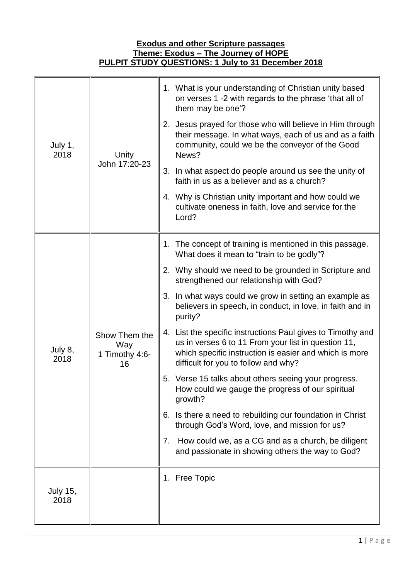## **Exodus and other Scripture passages Theme: Exodus – The Journey of HOPE PULPIT STUDY QUESTIONS: 1 July to 31 December 2018**

| July 1,<br>2018         | Unity<br>John 17:20-23                       | 1. What is your understanding of Christian unity based<br>on verses 1 -2 with regards to the phrase 'that all of<br>them may be one'?                                                                                |
|-------------------------|----------------------------------------------|----------------------------------------------------------------------------------------------------------------------------------------------------------------------------------------------------------------------|
|                         |                                              | 2. Jesus prayed for those who will believe in Him through<br>their message. In what ways, each of us and as a faith<br>community, could we be the conveyor of the Good<br>News?                                      |
|                         |                                              | 3. In what aspect do people around us see the unity of<br>faith in us as a believer and as a church?                                                                                                                 |
|                         |                                              | 4. Why is Christian unity important and how could we<br>cultivate oneness in faith, love and service for the<br>Lord?                                                                                                |
| July 8,<br>2018         | Show Them the<br>Way<br>1 Timothy 4:6-<br>16 | 1. The concept of training is mentioned in this passage.<br>What does it mean to "train to be godly"?                                                                                                                |
|                         |                                              | 2. Why should we need to be grounded in Scripture and<br>strengthened our relationship with God?                                                                                                                     |
|                         |                                              | 3. In what ways could we grow in setting an example as<br>believers in speech, in conduct, in love, in faith and in<br>purity?                                                                                       |
|                         |                                              | 4. List the specific instructions Paul gives to Timothy and<br>us in verses 6 to 11 From your list in question 11,<br>which specific instruction is easier and which is more<br>difficult for you to follow and why? |
|                         |                                              | 5. Verse 15 talks about others seeing your progress.<br>How could we gauge the progress of our spiritual<br>growth?                                                                                                  |
|                         |                                              | 6. Is there a need to rebuilding our foundation in Christ<br>through God's Word, love, and mission for us?                                                                                                           |
|                         |                                              | How could we, as a CG and as a church, be diligent<br>7.<br>and passionate in showing others the way to God?                                                                                                         |
|                         |                                              | 1. Free Topic                                                                                                                                                                                                        |
| <b>July 15,</b><br>2018 |                                              |                                                                                                                                                                                                                      |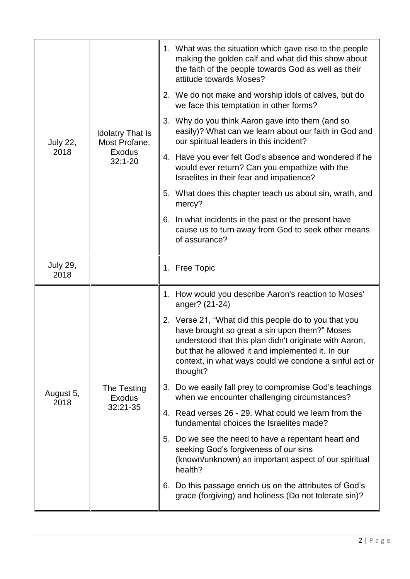| <b>July 22,</b><br>2018 | <b>Idolatry That Is</b><br>Most Profane.<br>Exodus<br>$32:1 - 20$ | 1. What was the situation which gave rise to the people<br>making the golden calf and what did this show about<br>the faith of the people towards God as well as their<br>attitude towards Moses?                                                                                           |
|-------------------------|-------------------------------------------------------------------|---------------------------------------------------------------------------------------------------------------------------------------------------------------------------------------------------------------------------------------------------------------------------------------------|
|                         |                                                                   | 2. We do not make and worship idols of calves, but do<br>we face this temptation in other forms?                                                                                                                                                                                            |
|                         |                                                                   | 3. Why do you think Aaron gave into them (and so<br>easily)? What can we learn about our faith in God and<br>our spiritual leaders in this incident?                                                                                                                                        |
|                         |                                                                   | 4. Have you ever felt God's absence and wondered if he<br>would ever return? Can you empathize with the<br>Israelites in their fear and impatience?                                                                                                                                         |
|                         |                                                                   | 5. What does this chapter teach us about sin, wrath, and<br>mercy?                                                                                                                                                                                                                          |
|                         |                                                                   | 6. In what incidents in the past or the present have<br>cause us to turn away from God to seek other means<br>of assurance?                                                                                                                                                                 |
| <b>July 29,</b><br>2018 |                                                                   | 1. Free Topic                                                                                                                                                                                                                                                                               |
|                         | The Testing<br>Exodus<br>32:21-35                                 | 1. How would you describe Aaron's reaction to Moses'<br>anger? (21-24)                                                                                                                                                                                                                      |
| August 5,<br>2018       |                                                                   | 2. Verse 21, "What did this people do to you that you<br>have brought so great a sin upon them?" Moses<br>understood that this plan didn't originate with Aaron,<br>but that he allowed it and implemented it. In our<br>context, in what ways could we condone a sinful act or<br>thought? |
|                         |                                                                   | 3. Do we easily fall prey to compromise God's teachings<br>when we encounter challenging circumstances?                                                                                                                                                                                     |
|                         |                                                                   | 4. Read verses 26 - 29. What could we learn from the<br>fundamental choices the Israelites made?                                                                                                                                                                                            |
|                         |                                                                   | 5. Do we see the need to have a repentant heart and<br>seeking God's forgiveness of our sins<br>(known/unknown) an important aspect of our spiritual<br>health?                                                                                                                             |
|                         |                                                                   | 6. Do this passage enrich us on the attributes of God's<br>grace (forgiving) and holiness (Do not tolerate sin)?                                                                                                                                                                            |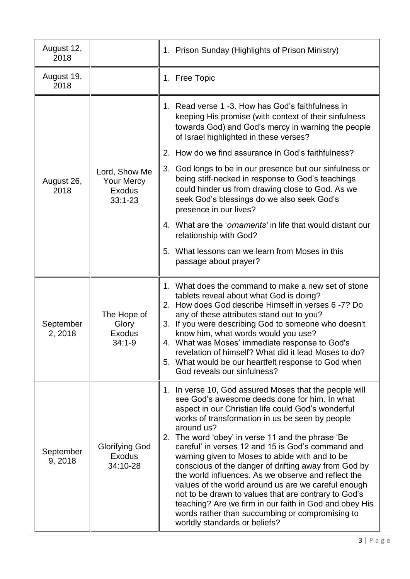| August 12,<br>2018   |                                                                    | 1. Prison Sunday (Highlights of Prison Ministry)                                                                                                                                                                                                                                                                                                                                                                                                                                                                                                                                                                                                                                                                                                                          |
|----------------------|--------------------------------------------------------------------|---------------------------------------------------------------------------------------------------------------------------------------------------------------------------------------------------------------------------------------------------------------------------------------------------------------------------------------------------------------------------------------------------------------------------------------------------------------------------------------------------------------------------------------------------------------------------------------------------------------------------------------------------------------------------------------------------------------------------------------------------------------------------|
| August 19,<br>2018   |                                                                    | 1. Free Topic                                                                                                                                                                                                                                                                                                                                                                                                                                                                                                                                                                                                                                                                                                                                                             |
|                      |                                                                    | 1. Read verse 1 -3. How has God's faithfulness in<br>keeping His promise (with context of their sinfulness<br>towards God) and God's mercy in warning the people<br>of Israel highlighted in these verses?                                                                                                                                                                                                                                                                                                                                                                                                                                                                                                                                                                |
|                      |                                                                    | How do we find assurance in God's faithfulness?<br>2.                                                                                                                                                                                                                                                                                                                                                                                                                                                                                                                                                                                                                                                                                                                     |
| August 26,<br>2018   | Lord, Show Me<br><b>Your Mercy</b><br><b>Exodus</b><br>$33:1 - 23$ | 3. God longs to be in our presence but our sinfulness or<br>being stiff-necked in response to God's teachings<br>could hinder us from drawing close to God. As we<br>seek God's blessings do we also seek God's<br>presence in our lives?                                                                                                                                                                                                                                                                                                                                                                                                                                                                                                                                 |
|                      |                                                                    | 4. What are the ' <i>ornaments'</i> in life that would distant our<br>relationship with God?                                                                                                                                                                                                                                                                                                                                                                                                                                                                                                                                                                                                                                                                              |
|                      |                                                                    | 5. What lessons can we learn from Moses in this<br>passage about prayer?                                                                                                                                                                                                                                                                                                                                                                                                                                                                                                                                                                                                                                                                                                  |
| September<br>2, 2018 | The Hope of<br>Glory<br><b>Exodus</b><br>34:1-9                    | 1. What does the command to make a new set of stone<br>tablets reveal about what God is doing?<br>2. How does God describe Himself in verses 6 -7? Do<br>any of these attributes stand out to you?<br>3. If you were describing God to someone who doesn't<br>know him, what words would you use?<br>4. What was Moses' immediate response to God's<br>revelation of himself? What did it lead Moses to do?<br>5. What would be our heartfelt response to God when<br>God reveals our sinfulness?                                                                                                                                                                                                                                                                         |
| September<br>9, 2018 | <b>Glorifying God</b><br><b>Exodus</b><br>34:10-28                 | 1. In verse 10, God assured Moses that the people will<br>see God's awesome deeds done for him. In what<br>aspect in our Christian life could God's wonderful<br>works of transformation in us be seen by people<br>around us?<br>The word 'obey' in verse 11 and the phrase 'Be<br>2.<br>careful' in verses 12 and 15 is God's command and<br>warning given to Moses to abide with and to be<br>conscious of the danger of drifting away from God by<br>the world influences. As we observe and reflect the<br>values of the world around us are we careful enough<br>not to be drawn to values that are contrary to God's<br>teaching? Are we firm in our faith in God and obey His<br>words rather than succumbing or compromising to<br>worldly standards or beliefs? |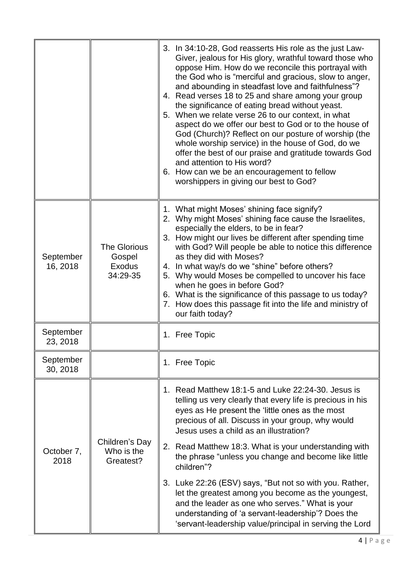|                       |                                                     | 3. In 34:10-28, God reasserts His role as the just Law-<br>Giver, jealous for His glory, wrathful toward those who<br>oppose Him. How do we reconcile this portrayal with<br>the God who is "merciful and gracious, slow to anger,<br>and abounding in steadfast love and faithfulness"?<br>4. Read verses 18 to 25 and share among your group<br>the significance of eating bread without yeast.<br>5. When we relate verse 26 to our context, in what<br>aspect do we offer our best to God or to the house of<br>God (Church)? Reflect on our posture of worship (the<br>whole worship service) in the house of God, do we<br>offer the best of our praise and gratitude towards God<br>and attention to His word?<br>6. How can we be an encouragement to fellow<br>worshippers in giving our best to God? |
|-----------------------|-----------------------------------------------------|----------------------------------------------------------------------------------------------------------------------------------------------------------------------------------------------------------------------------------------------------------------------------------------------------------------------------------------------------------------------------------------------------------------------------------------------------------------------------------------------------------------------------------------------------------------------------------------------------------------------------------------------------------------------------------------------------------------------------------------------------------------------------------------------------------------|
| September<br>16, 2018 | <b>The Glorious</b><br>Gospel<br>Exodus<br>34:29-35 | 1. What might Moses' shining face signify?<br>2. Why might Moses' shining face cause the Israelites,<br>especially the elders, to be in fear?<br>3. How might our lives be different after spending time<br>with God? Will people be able to notice this difference<br>as they did with Moses?<br>4. In what way/s do we "shine" before others?<br>5. Why would Moses be compelled to uncover his face<br>when he goes in before God?<br>6. What is the significance of this passage to us today?<br>7. How does this passage fit into the life and ministry of<br>our faith today?                                                                                                                                                                                                                            |
| September<br>23, 2018 |                                                     | 1. Free Topic                                                                                                                                                                                                                                                                                                                                                                                                                                                                                                                                                                                                                                                                                                                                                                                                  |
| September<br>30, 2018 |                                                     | 1. Free Topic                                                                                                                                                                                                                                                                                                                                                                                                                                                                                                                                                                                                                                                                                                                                                                                                  |
| October 7,<br>2018    | Children's Day<br>Who is the<br>Greatest?           | 1. Read Matthew 18:1-5 and Luke 22:24-30. Jesus is<br>telling us very clearly that every life is precious in his<br>eyes as He present the 'little ones as the most<br>precious of all. Discuss in your group, why would<br>Jesus uses a child as an illustration?<br>2. Read Matthew 18:3. What is your understanding with<br>the phrase "unless you change and become like little<br>children"?<br>3. Luke 22:26 (ESV) says, "But not so with you. Rather,<br>let the greatest among you become as the youngest,<br>and the leader as one who serves." What is your<br>understanding of 'a servant-leadership'? Does the<br>'servant-leadership value/principal in serving the Lord                                                                                                                          |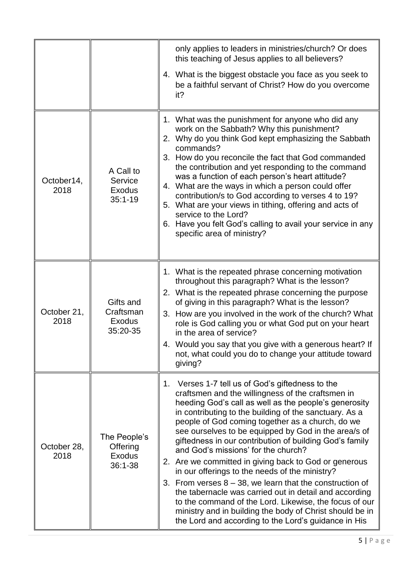|                     |                                                          | only applies to leaders in ministries/church? Or does<br>this teaching of Jesus applies to all believers?                                                                                                                                                                                                                                                                                                                                                                                                                                                                                                                                                                                                                                                                                                                                                |
|---------------------|----------------------------------------------------------|----------------------------------------------------------------------------------------------------------------------------------------------------------------------------------------------------------------------------------------------------------------------------------------------------------------------------------------------------------------------------------------------------------------------------------------------------------------------------------------------------------------------------------------------------------------------------------------------------------------------------------------------------------------------------------------------------------------------------------------------------------------------------------------------------------------------------------------------------------|
|                     |                                                          | 4. What is the biggest obstacle you face as you seek to<br>be a faithful servant of Christ? How do you overcome<br>it?                                                                                                                                                                                                                                                                                                                                                                                                                                                                                                                                                                                                                                                                                                                                   |
| October14,<br>2018  | A Call to<br>Service<br><b>Exodus</b><br>$35:1 - 19$     | 1. What was the punishment for anyone who did any<br>work on the Sabbath? Why this punishment?<br>2. Why do you think God kept emphasizing the Sabbath<br>commands?<br>3. How do you reconcile the fact that God commanded<br>the contribution and yet responding to the command<br>was a function of each person's heart attitude?<br>4. What are the ways in which a person could offer<br>contribution/s to God according to verses 4 to 19?<br>5. What are your views in tithing, offering and acts of<br>service to the Lord?<br>6. Have you felt God's calling to avail your service in any<br>specific area of ministry?                                                                                                                                                                                                                          |
| October 21,<br>2018 | Gifts and<br>Craftsman<br><b>Exodus</b><br>35:20-35      | 1. What is the repeated phrase concerning motivation<br>throughout this paragraph? What is the lesson?<br>2. What is the repeated phrase concerning the purpose<br>of giving in this paragraph? What is the lesson?<br>3. How are you involved in the work of the church? What<br>role is God calling you or what God put on your heart<br>in the area of service?<br>Would you say that you give with a generous heart? If<br>4.<br>not, what could you do to change your attitude toward<br>giving?                                                                                                                                                                                                                                                                                                                                                    |
| October 28,<br>2018 | The People's<br>Offering<br><b>Exodus</b><br>$36:1 - 38$ | 1. Verses 1-7 tell us of God's giftedness to the<br>craftsmen and the willingness of the craftsmen in<br>heeding God's call as well as the people's generosity<br>in contributing to the building of the sanctuary. As a<br>people of God coming together as a church, do we<br>see ourselves to be equipped by God in the area/s of<br>giftedness in our contribution of building God's family<br>and God's missions' for the church?<br>2. Are we committed in giving back to God or generous<br>in our offerings to the needs of the ministry?<br>3. From verses $8 - 38$ , we learn that the construction of<br>the tabernacle was carried out in detail and according<br>to the command of the Lord. Likewise, the focus of our<br>ministry and in building the body of Christ should be in<br>the Lord and according to the Lord's guidance in His |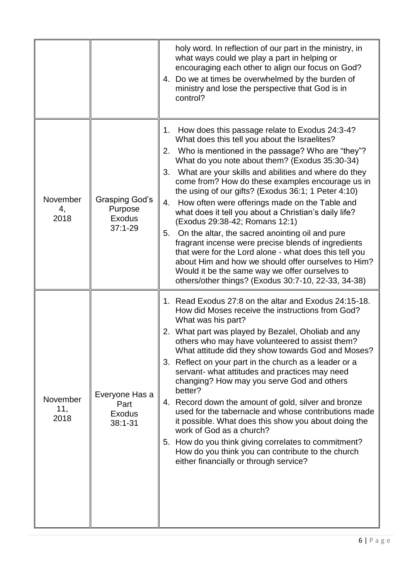|                         |                                                                  | holy word. In reflection of our part in the ministry, in<br>what ways could we play a part in helping or<br>encouraging each other to align our focus on God?<br>4. Do we at times be overwhelmed by the burden of<br>ministry and lose the perspective that God is in<br>control?                                                                                                                                                                                                                                                                                                                                                                                                                                                                                                                                                                                                   |
|-------------------------|------------------------------------------------------------------|--------------------------------------------------------------------------------------------------------------------------------------------------------------------------------------------------------------------------------------------------------------------------------------------------------------------------------------------------------------------------------------------------------------------------------------------------------------------------------------------------------------------------------------------------------------------------------------------------------------------------------------------------------------------------------------------------------------------------------------------------------------------------------------------------------------------------------------------------------------------------------------|
| November<br>4,<br>2018  | <b>Grasping God's</b><br>Purpose<br><b>Exodus</b><br>$37:1 - 29$ | How does this passage relate to Exodus 24:3-4?<br>1.<br>What does this tell you about the Israelites?<br>2. Who is mentioned in the passage? Who are "they"?<br>What do you note about them? (Exodus 35:30-34)<br>What are your skills and abilities and where do they<br>3.<br>come from? How do these examples encourage us in<br>the using of our gifts? (Exodus 36:1; 1 Peter 4:10)<br>4.<br>How often were offerings made on the Table and<br>what does it tell you about a Christian's daily life?<br>(Exodus 29:38-42; Romans 12:1)<br>On the altar, the sacred anointing oil and pure<br>5.<br>fragrant incense were precise blends of ingredients<br>that were for the Lord alone - what does this tell you<br>about Him and how we should offer ourselves to Him?<br>Would it be the same way we offer ourselves to<br>others/other things? (Exodus 30:7-10, 22-33, 34-38) |
| November<br>11,<br>2018 | Everyone Has a<br>Part<br>Exodus<br>$38:1 - 31$                  | 1. Read Exodus 27:8 on the altar and Exodus 24:15-18.<br>How did Moses receive the instructions from God?<br>What was his part?<br>2. What part was played by Bezalel, Oholiab and any<br>others who may have volunteered to assist them?<br>What attitude did they show towards God and Moses?<br>3. Reflect on your part in the church as a leader or a<br>servant- what attitudes and practices may need<br>changing? How may you serve God and others<br>better?<br>4. Record down the amount of gold, silver and bronze<br>used for the tabernacle and whose contributions made<br>it possible. What does this show you about doing the<br>work of God as a church?<br>5. How do you think giving correlates to commitment?<br>How do you think you can contribute to the church<br>either financially or through service?                                                      |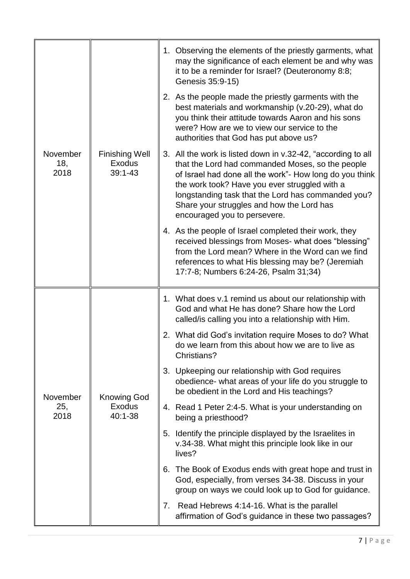| November<br>18,<br>2018 | <b>Finishing Well</b><br><b>Exodus</b><br>$39:1 - 43$ | 1. Observing the elements of the priestly garments, what<br>may the significance of each element be and why was<br>it to be a reminder for Israel? (Deuteronomy 8:8;<br>Genesis 35:9-15)                                                                                                                                                                        |
|-------------------------|-------------------------------------------------------|-----------------------------------------------------------------------------------------------------------------------------------------------------------------------------------------------------------------------------------------------------------------------------------------------------------------------------------------------------------------|
|                         |                                                       | 2. As the people made the priestly garments with the<br>best materials and workmanship (v.20-29), what do<br>you think their attitude towards Aaron and his sons<br>were? How are we to view our service to the<br>authorities that God has put above us?                                                                                                       |
|                         |                                                       | 3. All the work is listed down in v.32-42, "according to all<br>that the Lord had commanded Moses, so the people<br>of Israel had done all the work"- How long do you think<br>the work took? Have you ever struggled with a<br>longstanding task that the Lord has commanded you?<br>Share your struggles and how the Lord has<br>encouraged you to persevere. |
|                         |                                                       | 4. As the people of Israel completed their work, they<br>received blessings from Moses- what does "blessing"<br>from the Lord mean? Where in the Word can we find<br>references to what His blessing may be? (Jeremiah<br>17:7-8; Numbers 6:24-26, Psalm 31;34)                                                                                                 |
| November<br>25,<br>2018 |                                                       | 1. What does v.1 remind us about our relationship with<br>God and what He has done? Share how the Lord<br>called/is calling you into a relationship with Him.                                                                                                                                                                                                   |
|                         |                                                       | 2. What did God's invitation require Moses to do? What<br>do we learn from this about how we are to live as<br>Christians?                                                                                                                                                                                                                                      |
|                         | <b>Knowing God</b>                                    | 3. Upkeeping our relationship with God requires<br>obedience- what areas of your life do you struggle to<br>be obedient in the Lord and His teachings?                                                                                                                                                                                                          |
|                         | <b>Exodus</b><br>40:1-38                              | 4. Read 1 Peter 2:4-5. What is your understanding on<br>being a priesthood?                                                                                                                                                                                                                                                                                     |
|                         |                                                       | 5. Identify the principle displayed by the Israelites in<br>v.34-38. What might this principle look like in our<br>lives?                                                                                                                                                                                                                                       |
|                         |                                                       | 6. The Book of Exodus ends with great hope and trust in<br>God, especially, from verses 34-38. Discuss in your<br>group on ways we could look up to God for guidance.                                                                                                                                                                                           |
|                         |                                                       | 7. Read Hebrews 4:14-16. What is the parallel<br>affirmation of God's guidance in these two passages?                                                                                                                                                                                                                                                           |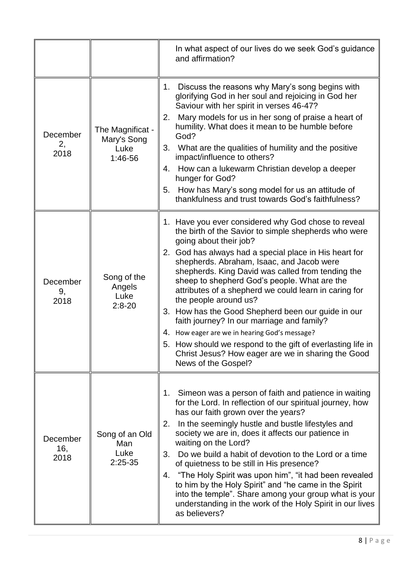|                         |                                                    | In what aspect of our lives do we seek God's guidance<br>and affirmation?                                                                                                                                                                                                                                                                                                                                                                                                                                                                                                                                                                                                                                                               |
|-------------------------|----------------------------------------------------|-----------------------------------------------------------------------------------------------------------------------------------------------------------------------------------------------------------------------------------------------------------------------------------------------------------------------------------------------------------------------------------------------------------------------------------------------------------------------------------------------------------------------------------------------------------------------------------------------------------------------------------------------------------------------------------------------------------------------------------------|
| December<br>2,<br>2018  | The Magnificat -<br>Mary's Song<br>Luke<br>1:46-56 | Discuss the reasons why Mary's song begins with<br>1.<br>glorifying God in her soul and rejoicing in God her<br>Saviour with her spirit in verses 46-47?<br>Mary models for us in her song of praise a heart of<br>2.<br>humility. What does it mean to be humble before<br>God?<br>What are the qualities of humility and the positive<br>3.<br>impact/influence to others?<br>4. How can a lukewarm Christian develop a deeper<br>hunger for God?<br>How has Mary's song model for us an attitude of<br>5.<br>thankfulness and trust towards God's faithfulness?                                                                                                                                                                      |
| December<br>9,<br>2018  | Song of the<br>Angels<br>Luke<br>$2:8 - 20$        | 1. Have you ever considered why God chose to reveal<br>the birth of the Savior to simple shepherds who were<br>going about their job?<br>2. God has always had a special place in His heart for<br>shepherds. Abraham, Isaac, and Jacob were<br>shepherds. King David was called from tending the<br>sheep to shepherd God's people. What are the<br>attributes of a shepherd we could learn in caring for<br>the people around us?<br>3. How has the Good Shepherd been our guide in our<br>faith journey? In our marriage and family?<br>4. How eager are we in hearing God's message?<br>How should we respond to the gift of everlasting life in<br>5.<br>Christ Jesus? How eager are we in sharing the Good<br>News of the Gospel? |
| December<br>16,<br>2018 | Song of an Old<br>Man<br>Luke<br>$2:25-35$         | Simeon was a person of faith and patience in waiting<br>1.<br>for the Lord. In reflection of our spiritual journey, how<br>has our faith grown over the years?<br>In the seemingly hustle and bustle lifestyles and<br>2.<br>society we are in, does it affects our patience in<br>waiting on the Lord?<br>Do we build a habit of devotion to the Lord or a time<br>3.<br>of quietness to be still in His presence?<br>"The Holy Spirit was upon him", "it had been revealed<br>4.<br>to him by the Holy Spirit" and "he came in the Spirit<br>into the temple". Share among your group what is your<br>understanding in the work of the Holy Spirit in our lives<br>as believers?                                                      |